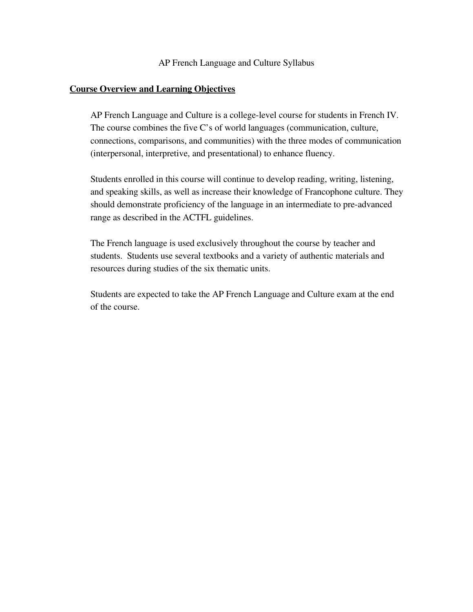AP French Language and Culture Syllabus

### Course Overview and Learning Objectives

AP French Language and Culture is a college-level course for students in French IV. The course combines the five C's of world languages (communication, culture, connections, comparisons, and communities) with the three modes of communication (interpersonal, interpretive, and presentational) to enhance fluency.

Students enrolled in this course will continue to develop reading, writing, listening, and speaking skills, as well as increase their knowledge of Francophone culture. They should demonstrate proficiency of the language in an intermediate to pre-advanced range as described in the ACTFL guidelines.

The French language is used exclusively throughout the course by teacher and students. Students use several textbooks and a variety of authentic materials and resources during studies of the six thematic units.

Students are expected to take the AP French Language and Culture exam at the end of the course.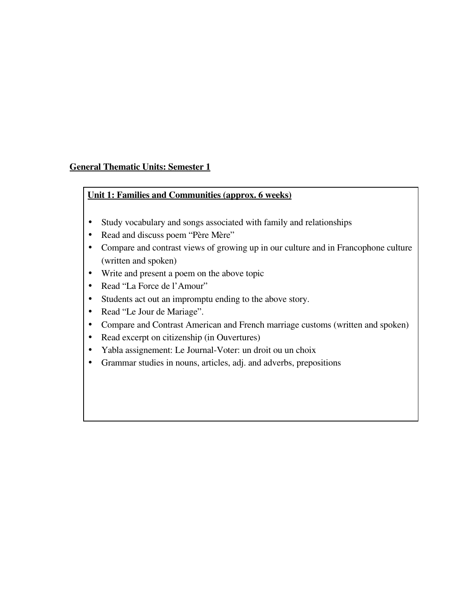## General Thematic Units: Semester 1

### Unit 1: Families and Communities (approx. 6 weeks)

- Study vocabulary and songs associated with family and relationships
- Read and discuss poem "Père Mère"
- Compare and contrast views of growing up in our culture and in Francophone culture (written and spoken)
- Write and present a poem on the above topic
- Read "La Force de l'Amour"
- Students act out an impromptu ending to the above story.
- Read "Le Jour de Mariage".
- Compare and Contrast American and French marriage customs (written and spoken)
- Read excerpt on citizenship (in Ouvertures)
- Yabla assignement: Le Journal-Voter: un droit ou un choix
- Grammar studies in nouns, articles, adj. and adverbs, prepositions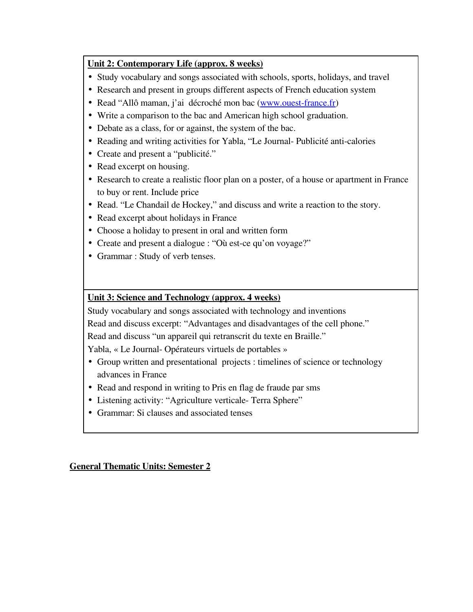## Unit 2: Contemporary Life (approx. 8 weeks)

- Study vocabulary and songs associated with schools, sports, holidays, and travel
- Research and present in groups different aspects of French education system
- Read "Allô maman, j'ai décroché mon bac (www.ouest-france.fr)
- Write a comparison to the bac and American high school graduation.
- Debate as a class, for or against, the system of the bac.
- Reading and writing activities for Yabla, "Le Journal-Publicité anti-calories
- Create and present a "publicité."
- Read excerpt on housing.
- Research to create a realistic floor plan on a poster, of a house or apartment in France to buy or rent. Include price
- Read. "Le Chandail de Hockey," and discuss and write a reaction to the story.
- Read excerpt about holidays in France
- Choose a holiday to present in oral and written form
- Create and present a dialogue : "Où est-ce qu'on voyage?"
- Grammar : Study of verb tenses.

## Unit 3: Science and Technology (approx. 4 weeks)

Study vocabulary and songs associated with technology and inventions

Read and discuss excerpt: "Advantages and disadvantages of the cell phone."

Read and discuss "un appareil qui retranscrit du texte en Braille."

Yabla, « Le Journal-Opérateurs virtuels de portables »

- Group written and presentational projects : timelines of science or technology advances in France
- Read and respond in writing to Pris en flag de fraude par sms
- Listening activity: "Agriculture verticale-Terra Sphere"
- Grammar: Si clauses and associated tenses

General Thematic Units: Semester 2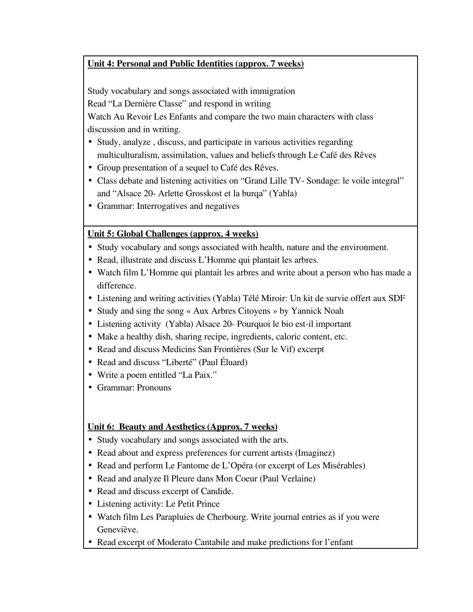# Unit 4: Personal and Public Identities (approx. 7 weeks)

Study vocabulary and songs associated with immigration

Read "La Dernière Classe" and respond in writing

Watch Au Revoir Les Enfants and compare the two main characters with class discussion and in writing.

- Study, analyze , discuss, and participate in various activities regarding multiculturalism, assimilation, values and beliefs through Le Café des Rêves
- Group presentation of a sequel to Café des Rêves.
- Class debate and listening activities on "Grand Lille TV- Sondage: le voile integral" and "Alsace 20 Arlette Grosskost et la burqa" (Yabla)
- Grammar: Interrogatives and negatives

# Unit 5: Global Challenges (approx. 4 weeks)

- Study vocabulary and songs associated with health, nature and the environment.
- Read, illustrate and discuss L'Homme qui plantait les arbres.
- Watch film L'Homme qui plantait les arbres and write about a person who has made a difference.
- Listening and writing activities (Yabla) Télé Miroir: Un kit de survie offert aux SDF
- Study and sing the song « Aux Arbres Citoyens » by Yannick Noah
- Listening activity (Yabla) Alsace 20- Pourquoi le bio est-il important
- Make a healthy dish, sharing recipe, ingredients, caloric content, etc.
- Read and discuss Medicins San Frontières (Sur le Vif) excerpt
- Read and discuss "Liberté" (Paul Éluard)
- Write a poem entitled "La Paix."
- Grammar: Pronouns

# Unit 6: Beauty and Aesthetics (Approx. 7 weeks)

- Study vocabulary and songs associated with the arts.
- Read about and express preferences for current artists (Imaginez)
- Read and perform Le Fantome de L'Opéra (or excerpt of Les Misérables)
- Read and analyze Il Pleure dans Mon Coeur (Paul Verlaine)
- Read and discuss excerpt of Candide.
- Listening activity: Le Petit Prince
- Watch film Les Parapluies de Cherbourg. Write journal entries as if you were Geneviève.
- Read excerpt of Moderato Cantabile and make predictions for l'enfant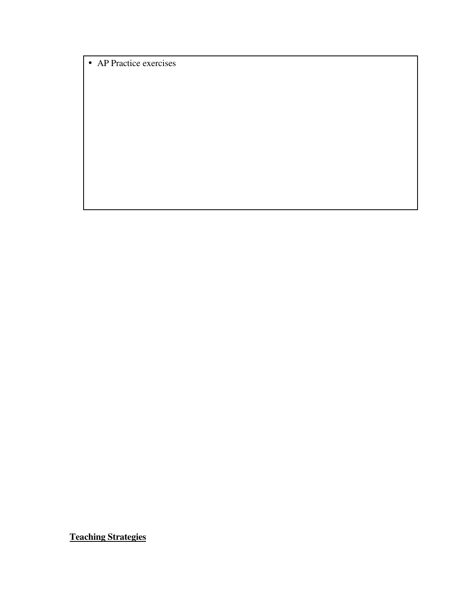• AP Practice exercises

Teaching Strategies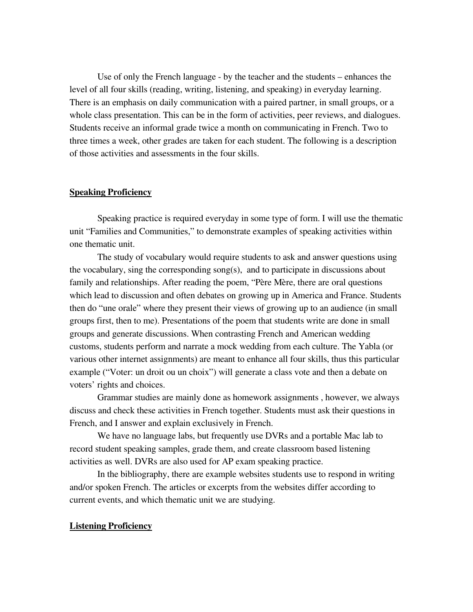Use of only the French language - by the teacher and the students – enhances the level of all four skills (reading, writing, listening, and speaking) in everyday learning. There is an emphasis on daily communication with a paired partner, in small groups, or a whole class presentation. This can be in the form of activities, peer reviews, and dialogues. Students receive an informal grade twice a month on communicating in French. Two to three times a week, other grades are taken for each student. The following is a description of those activities and assessments in the four skills.

### Speaking Proficiency

Speaking practice is required everyday in some type of form. I will use the thematic unit "Families and Communities," to demonstrate examples of speaking activities within one thematic unit.

The study of vocabulary would require students to ask and answer questions using the vocabulary, sing the corresponding song(s), and to participate in discussions about family and relationships. After reading the poem, "Père Mère, there are oral questions which lead to discussion and often debates on growing up in America and France. Students then do "une orale" where they present their views of growing up to an audience (in small groups first, then to me). Presentations of the poem that students write are done in small groups and generate discussions. When contrasting French and American wedding customs, students perform and narrate a mock wedding from each culture. The Yabla (or various other internet assignments) are meant to enhance all four skills, thus this particular example ("Voter: un droit ou un choix") will generate a class vote and then a debate on voters' rights and choices.

Grammar studies are mainly done as homework assignments , however, we always discuss and check these activities in French together. Students must ask their questions in French, and I answer and explain exclusively in French.

We have no language labs, but frequently use DVRs and a portable Mac lab to record student speaking samples, grade them, and create classroom based listening activities as well. DVRs are also used for AP exam speaking practice.

In the bibliography, there are example websites students use to respond in writing and/or spoken French. The articles or excerpts from the websites differ according to current events, and which thematic unit we are studying.

#### Listening Proficiency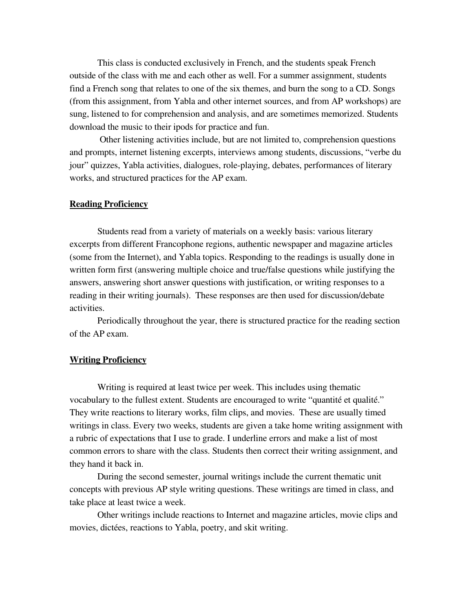This class is conducted exclusively in French, and the students speak French outside of the class with me and each other as well. For a summer assignment, students find a French song that relates to one of the six themes, and burn the song to a CD. Songs (from this assignment, from Yabla and other internet sources, and from AP workshops) are sung, listened to for comprehension and analysis, and are sometimes memorized. Students download the music to their ipods for practice and fun.

 Other listening activities include, but are not limited to, comprehension questions and prompts, internet listening excerpts, interviews among students, discussions, "verbe du jour" quizzes, Yabla activities, dialogues, role-playing, debates, performances of literary works, and structured practices for the AP exam.

### Reading Proficiency

Students read from a variety of materials on a weekly basis: various literary excerpts from different Francophone regions, authentic newspaper and magazine articles (some from the Internet), and Yabla topics. Responding to the readings is usually done in written form first (answering multiple choice and true/false questions while justifying the answers, answering short answer questions with justification, or writing responses to a reading in their writing journals). These responses are then used for discussion/debate activities.

Periodically throughout the year, there is structured practice for the reading section of the AP exam.

#### Writing Proficiency

Writing is required at least twice per week. This includes using thematic vocabulary to the fullest extent. Students are encouraged to write "quantité et qualité." They write reactions to literary works, film clips, and movies. These are usually timed writings in class. Every two weeks, students are given a take home writing assignment with a rubric of expectations that I use to grade. I underline errors and make a list of most common errors to share with the class. Students then correct their writing assignment, and they hand it back in.

During the second semester, journal writings include the current thematic unit concepts with previous AP style writing questions. These writings are timed in class, and take place at least twice a week.

Other writings include reactions to Internet and magazine articles, movie clips and movies, dictées, reactions to Yabla, poetry, and skit writing.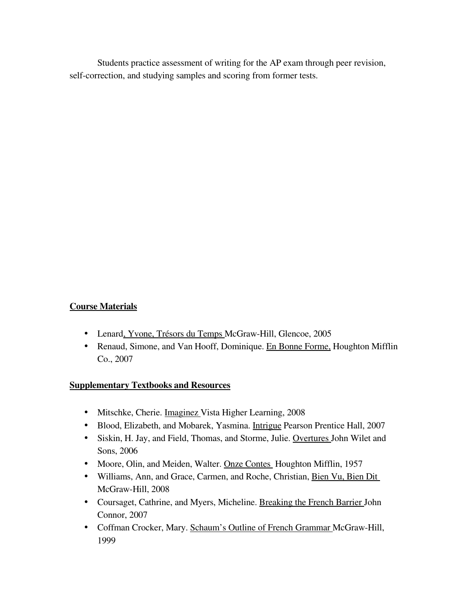Students practice assessment of writing for the AP exam through peer revision, self-correction, and studying samples and scoring from former tests.

### Course Materials

- Lenard, Yvone, Trésors du Temps McGraw-Hill, Glencoe, 2005
- Renaud, Simone, and Van Hooff, Dominique. En Bonne Forme, Houghton Mifflin Co., 2007

### Supplementary Textbooks and Resources

- Mitschke, Cherie. Imaginez Vista Higher Learning, 2008
- Blood, Elizabeth, and Mobarek, Yasmina. Intrigue Pearson Prentice Hall, 2007
- Siskin, H. Jay, and Field, Thomas, and Storme, Julie. Overtures John Wilet and Sons, 2006
- Moore, Olin, and Meiden, Walter. Onze Contes Houghton Mifflin, 1957
- Williams, Ann, and Grace, Carmen, and Roche, Christian, Bien Vu, Bien Dit McGraw-Hill, 2008
- Coursaget, Cathrine, and Myers, Micheline. Breaking the French Barrier John Connor, 2007
- Coffman Crocker, Mary. Schaum's Outline of French Grammar McGraw-Hill, 1999